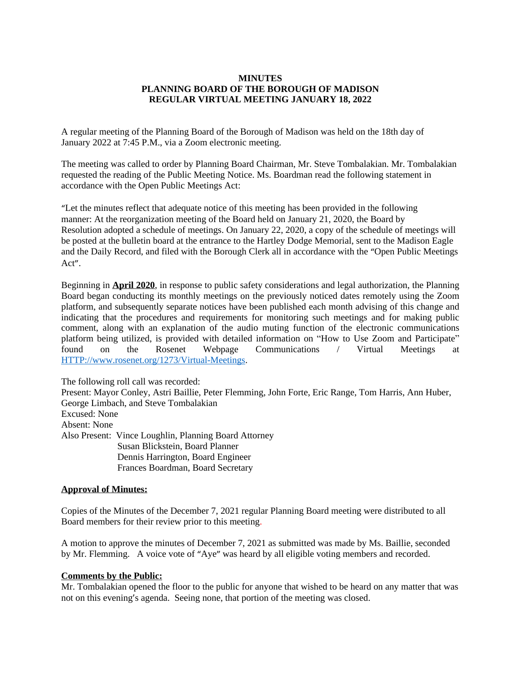## **MINUTES PLANNING BOARD OF THE BOROUGH OF MADISON REGULAR VIRTUAL MEETING JANUARY 18, 2022**

A regular meeting of the Planning Board of the Borough of Madison was held on the 18th day of January 2022 at 7:45 P.M., via a Zoom electronic meeting.

The meeting was called to order by Planning Board Chairman, Mr. Steve Tombalakian. Mr. Tombalakian requested the reading of the Public Meeting Notice. Ms. Boardman read the following statement in accordance with the Open Public Meetings Act:

"Let the minutes reflect that adequate notice of this meeting has been provided in the following manner: At the reorganization meeting of the Board held on January 21, 2020, the Board by Resolution adopted a schedule of meetings. On January 22, 2020, a copy of the schedule of meetings will be posted at the bulletin board at the entrance to the Hartley Dodge Memorial, sent to the Madison Eagle and the Daily Record, and filed with the Borough Clerk all in accordance with the "Open Public Meetings Act".

Beginning in **April 2020**, in response to public safety considerations and legal authorization, the Planning Board began conducting its monthly meetings on the previously noticed dates remotely using the Zoom platform, and subsequently separate notices have been published each month advising of this change and indicating that the procedures and requirements for monitoring such meetings and for making public comment, along with an explanation of the audio muting function of the electronic communications platform being utilized, is provided with detailed information on "How to Use Zoom and Participate" found on the Rosenet Webpage Communications / Virtual Meetings at <HTTP://www.rosenet.org/1273/Virtual-Meetings>.

The following roll call was recorded: Present: Mayor Conley, Astri Baillie, Peter Flemming, John Forte, Eric Range, Tom Harris, Ann Huber, George Limbach, and Steve Tombalakian Excused: None Absent: None Also Present: Vince Loughlin, Planning Board Attorney Susan Blickstein, Board Planner Dennis Harrington, Board Engineer Frances Boardman, Board Secretary

#### **Approval of Minutes:**

Copies of the Minutes of the December 7, 2021 regular Planning Board meeting were distributed to all Board members for their review prior to this meeting.

A motion to approve the minutes of December 7, 2021 as submitted was made by Ms. Baillie, seconded by Mr. Flemming. A voice vote of "Aye" was heard by all eligible voting members and recorded.

#### **Comments by the Public:**

Mr. Tombalakian opened the floor to the public for anyone that wished to be heard on any matter that was not on this evening's agenda. Seeing none, that portion of the meeting was closed.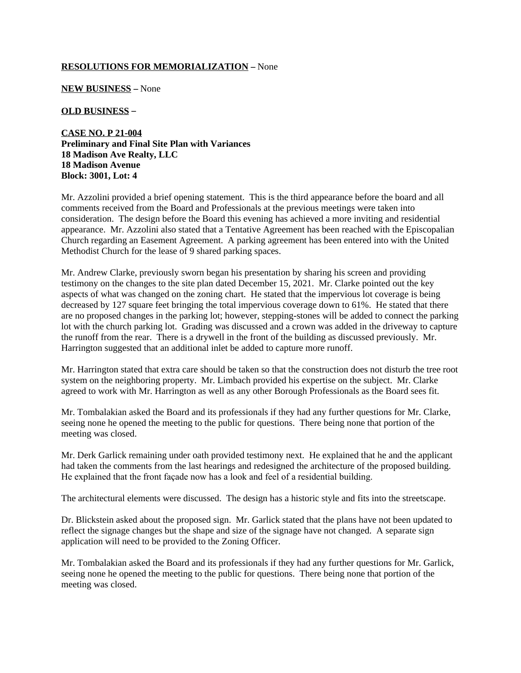### **RESOLUTIONS FOR MEMORIALIZATION** – None

**NEW BUSINESS** – None

**OLD BUSINESS** –

**CASE NO. P 21-004 Preliminary and Final Site Plan with Variances 18 Madison Ave Realty, LLC 18 Madison Avenue Block: 3001, Lot: 4**

Mr. Azzolini provided a brief opening statement. This is the third appearance before the board and all comments received from the Board and Professionals at the previous meetings were taken into consideration. The design before the Board this evening has achieved a more inviting and residential appearance. Mr. Azzolini also stated that a Tentative Agreement has been reached with the Episcopalian Church regarding an Easement Agreement. A parking agreement has been entered into with the United Methodist Church for the lease of 9 shared parking spaces.

Mr. Andrew Clarke, previously sworn began his presentation by sharing his screen and providing testimony on the changes to the site plan dated December 15, 2021. Mr. Clarke pointed out the key aspects of what was changed on the zoning chart. He stated that the impervious lot coverage is being decreased by 127 square feet bringing the total impervious coverage down to 61%. He stated that there are no proposed changes in the parking lot; however, stepping-stones will be added to connect the parking lot with the church parking lot. Grading was discussed and a crown was added in the driveway to capture the runoff from the rear. There is a drywell in the front of the building as discussed previously. Mr. Harrington suggested that an additional inlet be added to capture more runoff.

Mr. Harrington stated that extra care should be taken so that the construction does not disturb the tree root system on the neighboring property. Mr. Limbach provided his expertise on the subject. Mr. Clarke agreed to work with Mr. Harrington as well as any other Borough Professionals as the Board sees fit.

Mr. Tombalakian asked the Board and its professionals if they had any further questions for Mr. Clarke, seeing none he opened the meeting to the public for questions. There being none that portion of the meeting was closed.

Mr. Derk Garlick remaining under oath provided testimony next. He explained that he and the applicant had taken the comments from the last hearings and redesigned the architecture of the proposed building. He explained that the front façade now has a look and feel of a residential building.

The architectural elements were discussed. The design has a historic style and fits into the streetscape.

Dr. Blickstein asked about the proposed sign. Mr. Garlick stated that the plans have not been updated to reflect the signage changes but the shape and size of the signage have not changed. A separate sign application will need to be provided to the Zoning Officer.

Mr. Tombalakian asked the Board and its professionals if they had any further questions for Mr. Garlick, seeing none he opened the meeting to the public for questions. There being none that portion of the meeting was closed.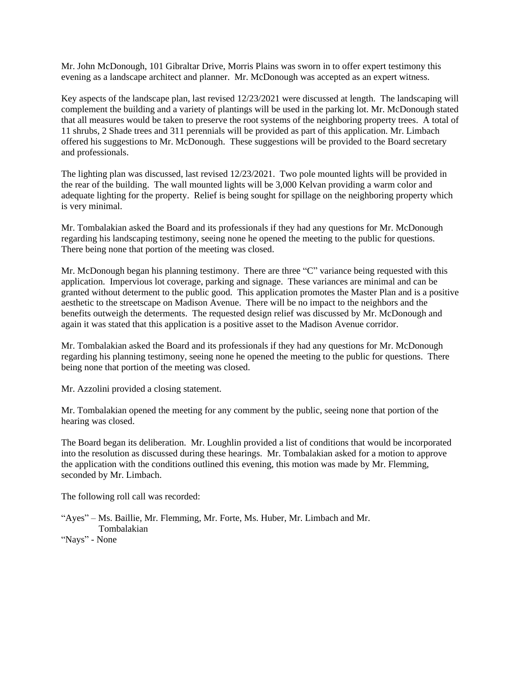Mr. John McDonough, 101 Gibraltar Drive, Morris Plains was sworn in to offer expert testimony this evening as a landscape architect and planner. Mr. McDonough was accepted as an expert witness.

Key aspects of the landscape plan, last revised 12/23/2021 were discussed at length. The landscaping will complement the building and a variety of plantings will be used in the parking lot. Mr. McDonough stated that all measures would be taken to preserve the root systems of the neighboring property trees. A total of 11 shrubs, 2 Shade trees and 311 perennials will be provided as part of this application. Mr. Limbach offered his suggestions to Mr. McDonough. These suggestions will be provided to the Board secretary and professionals.

The lighting plan was discussed, last revised 12/23/2021. Two pole mounted lights will be provided in the rear of the building. The wall mounted lights will be 3,000 Kelvan providing a warm color and adequate lighting for the property. Relief is being sought for spillage on the neighboring property which is very minimal.

Mr. Tombalakian asked the Board and its professionals if they had any questions for Mr. McDonough regarding his landscaping testimony, seeing none he opened the meeting to the public for questions. There being none that portion of the meeting was closed.

Mr. McDonough began his planning testimony. There are three "C" variance being requested with this application. Impervious lot coverage, parking and signage. These variances are minimal and can be granted without determent to the public good. This application promotes the Master Plan and is a positive aesthetic to the streetscape on Madison Avenue. There will be no impact to the neighbors and the benefits outweigh the determents. The requested design relief was discussed by Mr. McDonough and again it was stated that this application is a positive asset to the Madison Avenue corridor.

Mr. Tombalakian asked the Board and its professionals if they had any questions for Mr. McDonough regarding his planning testimony, seeing none he opened the meeting to the public for questions. There being none that portion of the meeting was closed.

Mr. Azzolini provided a closing statement.

Mr. Tombalakian opened the meeting for any comment by the public, seeing none that portion of the hearing was closed.

The Board began its deliberation. Mr. Loughlin provided a list of conditions that would be incorporated into the resolution as discussed during these hearings. Mr. Tombalakian asked for a motion to approve the application with the conditions outlined this evening, this motion was made by Mr. Flemming, seconded by Mr. Limbach.

The following roll call was recorded:

"Ayes" – Ms. Baillie, Mr. Flemming, Mr. Forte, Ms. Huber, Mr. Limbach and Mr. Tombalakian "Nays" - None